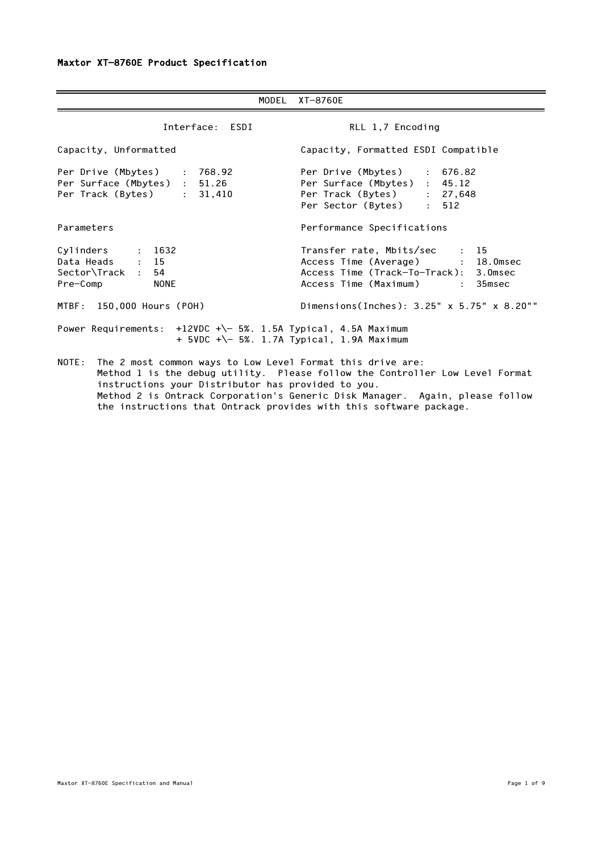|                                                                                                                        | MODEL XT-8760E                                                                                                                               |
|------------------------------------------------------------------------------------------------------------------------|----------------------------------------------------------------------------------------------------------------------------------------------|
| Interface: ESDI                                                                                                        | RLL 1,7 Encoding                                                                                                                             |
| Capacity, Unformatted                                                                                                  | Capacity, Formatted ESDI Compatible                                                                                                          |
| Per Drive (Mbytes) : 768.92<br>Per Surface (Mbytes) : 51.26<br>Per Track (Bytes) : 31,410                              | Per Drive (Mbytes) : 676.82<br>Per Surface (Mbytes) : 45.12<br>Per Track (Bytes) : 27,648<br>Per Sector (Bytes) : 512                        |
| Parameters                                                                                                             | Performance Specifications                                                                                                                   |
| Cylinders : 1632<br>Data Heads : 15<br>Sector\Track : 54<br>Pre-Comp<br><b>NONE</b>                                    | Transfer rate, Mbits/sec : 15<br>Access Time (Average) : 18.0msec<br>Access Time (Track-To-Track): 3.0msec<br>Access Time (Maximum) : 35msec |
| MTBF: 150,000 Hours (POH)                                                                                              | Dimensions(Inches): 3.25" x 5.75" x 8.20""                                                                                                   |
| Power Requirements: +12VDC +\- 5%. 1.5A Typical, 4.5A Maximum<br>+ 5VDC +\- 5%. 1.7A Typical, 1.9A Maximum             |                                                                                                                                              |
| NOTE: The 2 most common ways to Low Level Format this drive are:<br>instructions your Distributor has provided to you. | Method 1 is the debug utility. Please follow the Controller Low Level Format                                                                 |

 Method 2 is Ontrack Corporation's Generic Disk Manager. Again, please follow the instructions that Ontrack provides with this software package.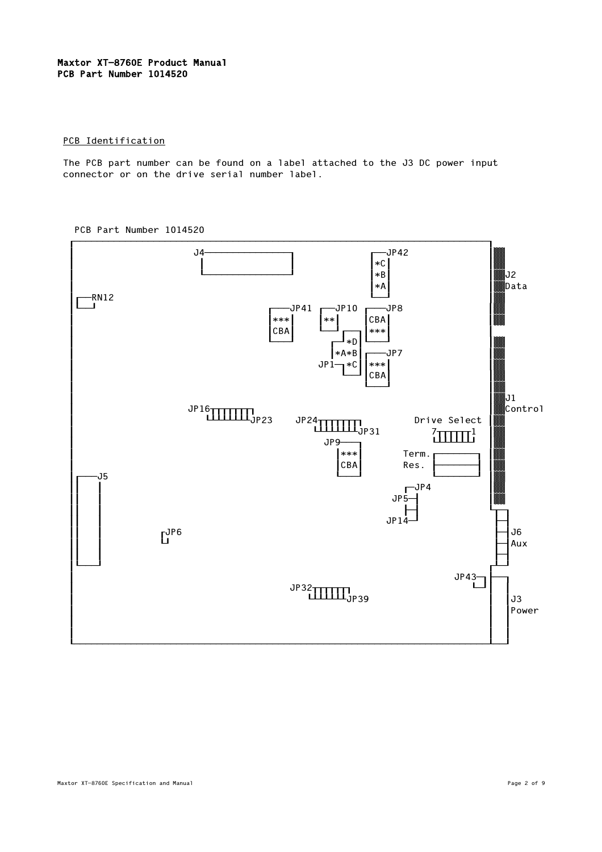# Maxtor XT-8760E Product Manual PCB Part Number 1014520

# PCB Identification

 The PCB part number can be found on a label attached to the J3 DC power input connector or on the drive serial number label.



PCB Part Number 1014520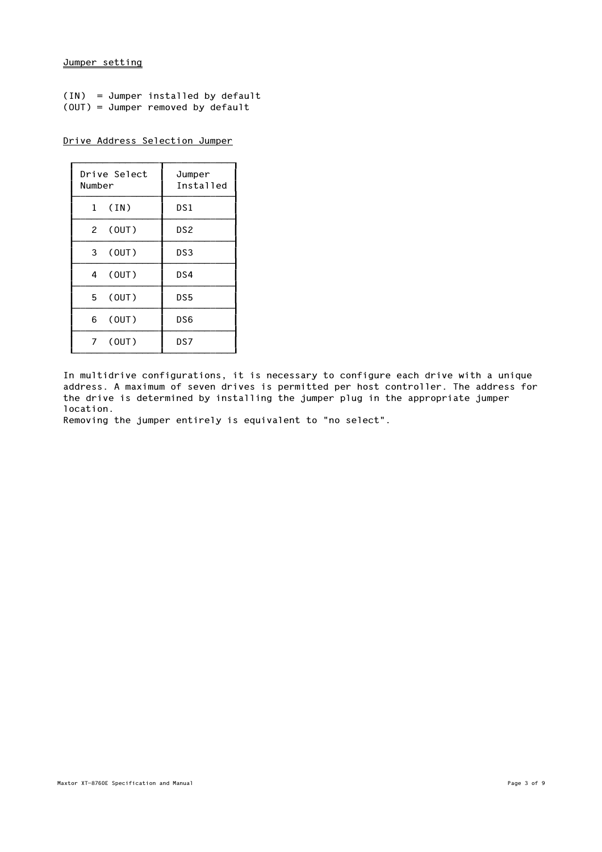# Jumper setting

|  | $(IN) = Jumber$ installed by default |  |  |
|--|--------------------------------------|--|--|
|  | $(OUT) = Jumber$ removed by default  |  |  |

Drive Address Selection Jumper

| Drive Select<br>Number  | Jumper<br>Installed |
|-------------------------|---------------------|
| (IN)<br>1               | DS1                 |
| 2 (OUT)                 | DS <sub>2</sub>     |
| 3 <sup>7</sup><br>(0UT) | DS3                 |
| 4 (OUT)                 | DS4                 |
| 5 (OUT)                 | DS5                 |
| 6 (OUT)                 | DS6                 |
| 7 (OUT)                 | DS7                 |

 In multidrive configurations, it is necessary to configure each drive with a unique address. A maximum of seven drives is permitted per host controller. The address for the drive is determined by installing the jumper plug in the appropriate jumper location.

Removing the jumper entirely is equivalent to "no select".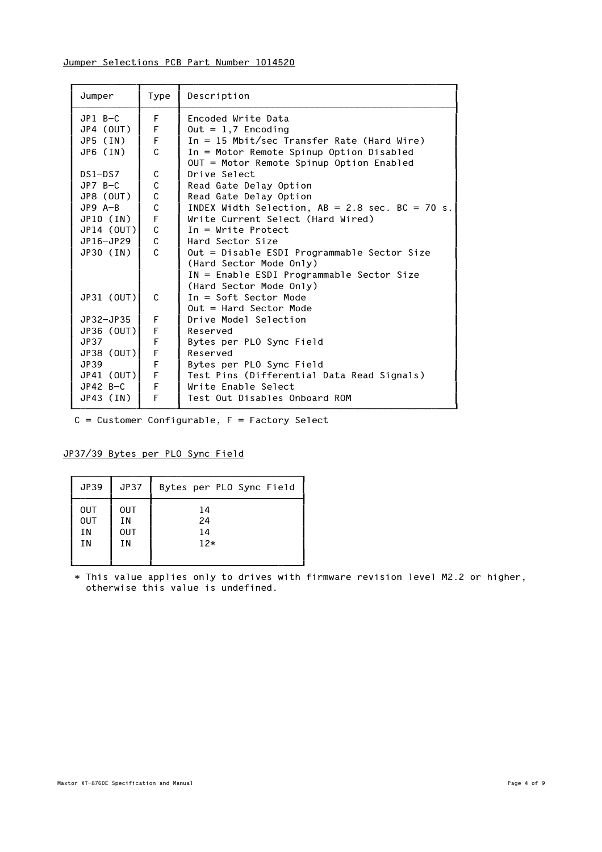# Jumper Selections PCB Part Number 1014520

| Jumper      | Type        | Description                                       |
|-------------|-------------|---------------------------------------------------|
| $JP1$ $B-C$ | F           | Encoded Write Data                                |
| JP4 (OUT)   | F           | $0$ ut = 1,7 Encoding                             |
| $JPS$ (IN)  | F           | In = 15 Mbit/sec Transfer Rate (Hard Wire)        |
| JP6 (IN)    | C           | In = Motor Remote Spinup Option Disabled          |
|             |             | OUT = Motor Remote Spinup Option Enabled          |
| $DS1 - DS7$ | C           | Drive Select                                      |
| $JPZ_B-C$   | C           | Read Gate Delay Option                            |
| JP8 (OUT)   | $\mathsf C$ | Read Gate Delay Option                            |
| $JP9$ A-B   | $\mathsf C$ | INDEX Width Selection, $AB = 2.8$ sec. BC = 70 s. |
| JP10 (IN)   | F           | Write Current Select (Hard Wired)                 |
| JP14 (OUT)  | $\mathsf C$ | $In = Write$ Protect                              |
| JP16-JP29   | C           | Hard Sector Size                                  |
| JP30 (IN)   | C.          | Out = Disable ESDI Programmable Sector Size       |
|             |             | (Hard Sector Mode Only)                           |
|             |             | IN = Enable ESDI Programmable Sector Size         |
|             |             | (Hard Sector Mode Only)                           |
| JP31 (OUT)  | C           | $In = Soft Sector Mode$                           |
|             |             | $Out = Hard Sector Mode$                          |
| JP32-JP35   | F           | Drive Model Selection                             |
| JP36 (OUT)  | F           | Reserved                                          |
| JP37        | F           | Bytes per PLO Sync Field                          |
| JP38 (OUT)  | F           | Reserved                                          |
| JP39        | F           | Bytes per PLO Sync Field                          |
| JP41 (OUT)  | $\mathsf F$ | Test Pins (Differential Data Read Signals)        |
| $JP42 B-C$  | $\mathsf F$ | Write Enable Select                               |
| JP43 (IN)   | F           | Test Out Disables Onboard ROM                     |

 $C =$  Customer Configurable,  $F =$  Factory Select

# JP37/39 Bytes per PLO Sync Field

| JP39       | <b>JP37</b> | Bytes per PLO Sync Field |
|------------|-------------|--------------------------|
| <b>OUT</b> | <b>OUT</b>  | 14                       |
| <b>OUT</b> | ΙN          | 24                       |
| ΙN         | <b>OUT</b>  | 14                       |
| ΙN         | ΙN          | $12*$                    |

 \* This value applies only to drives with firmware revision level M2.2 or higher, otherwise this value is undefined.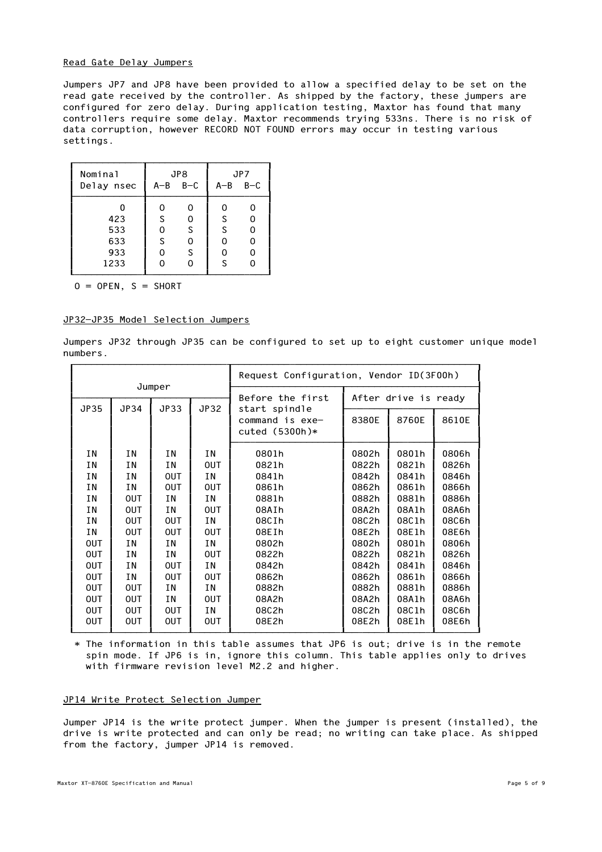## Read Gate Delay Jumpers

 Jumpers JP7 and JP8 have been provided to allow a specified delay to be set on the read gate received by the controller. As shipped by the factory, these jumpers are configured for zero delay. During application testing, Maxtor has found that many controllers require some delay. Maxtor recommends trying 533ns. There is no risk of data corruption, however RECORD NOT FOUND errors may occur in testing various settings.

| Nominal    |                 | JP8 |                 | JP7 |
|------------|-----------------|-----|-----------------|-----|
| Delay nsec | $A - B$ $B - C$ |     | $A - B$ $B - C$ |     |
|            | 0               | 0   | 0               | Ω   |
| 423        | S               | 0   | S               | 0   |
| 533        | 0               | S   | S               | 0   |
| 633        | S               | 0   | 0               | 0   |
| 933        | ი               | S   | 0               | 0   |
| 1233       |                 | ი   | S               | ი   |

 $0 =$  OPEN,  $S =$  SHORT

#### JP32-JP35 Model Selection Jumpers

 Jumpers JP32 through JP35 can be configured to set up to eight customer unique model numbers.

|             |            |            | Request Configuration, Vendor ID(3F00h) |                                                      |       |                      |       |  |
|-------------|------------|------------|-----------------------------------------|------------------------------------------------------|-------|----------------------|-------|--|
|             |            | Jumper     |                                         | Before the first                                     |       | After drive is ready |       |  |
| <b>JP35</b> | JP34       | JP33       | JP32                                    | start spindle<br>command is exe-<br>cuted $(5300h)*$ | 8380E | 8760E                | 8610E |  |
| ΙN          | ΙN         | ΙN         | <b>IN</b>                               | 0801h                                                | 0802h | 0801h                | 0806h |  |
| ΙN          | ΙN         | ΙN         | <b>OUT</b>                              | 0821h                                                | 0822h | 0821h                | 0826h |  |
| ΙN          | ΙN         | <b>OUT</b> | T N                                     | 0841h                                                | 0842h | 0841h                | 0846h |  |
| ΙN          | ΙN         | <b>OUT</b> | <b>OUT</b>                              | 0861h                                                | 0862h | 0861h                | 0866h |  |
| ΙN          | <b>OUT</b> | ΙN         | ΙN                                      | 0881h                                                | 0882h | 0881h                | 0886h |  |
| ΙN          | <b>OUT</b> | ΙN         | <b>OUT</b>                              | 08AIh                                                | 08A2h | 08A1h                | 08A6h |  |
| ΙN          | <b>OUT</b> | <b>OUT</b> | T N                                     | 08CIh                                                | 08C2h | 08C1h                | 08C6h |  |
| ΙN          | <b>OUT</b> | <b>OUT</b> | <b>OUT</b>                              | 08EIh                                                | 08E2h | 08E1h                | 08E6h |  |
| <b>OUT</b>  | ΙN         | ΙN         | ΙN                                      | 0802h                                                | 0802h | 0801h                | 0806h |  |
| <b>OUT</b>  | ΙN         | ΙN         | <b>OUT</b>                              | 0822h                                                | 0822h | 0821h                | 0826h |  |
| <b>OUT</b>  | ΙN         | <b>OUT</b> | T N                                     | 0842h                                                | 0842h | 0841h                | 0846h |  |
| <b>OUT</b>  | ΙN         | <b>OUT</b> | <b>OUT</b>                              | 0862h                                                | 0862h | 0861h                | 0866h |  |
| <b>OUT</b>  | <b>OUT</b> | ΙN         | ΙN                                      | 0882h                                                | 0882h | 0881h                | 0886h |  |
| <b>OUT</b>  | <b>OUT</b> | ΙN         | <b>OUT</b>                              | 08A2h                                                | 08A2h | 08A1h                | 08A6h |  |
| <b>OUT</b>  | <b>OUT</b> | <b>OUT</b> | ΙN                                      | 08C2h                                                | 08C2h | 08C1h                | 08C6h |  |
| <b>OUT</b>  | <b>OUT</b> | <b>OUT</b> | <b>OUT</b>                              | 08E2h                                                | 08E2h | 08E1h                | 08E6h |  |

 \* The information in this table assumes that JP6 is out; drive is in the remote spin mode. If JP6 is in, ignore this column. This table applies only to drives with firmware revision level M2.2 and higher.

## JP14 Write Protect Selection Jumper

 Jumper JP14 is the write protect jumper. When the jumper is present (installed), the drive is write protected and can only be read; no writing can take place. As shipped from the factory, jumper JP14 is removed.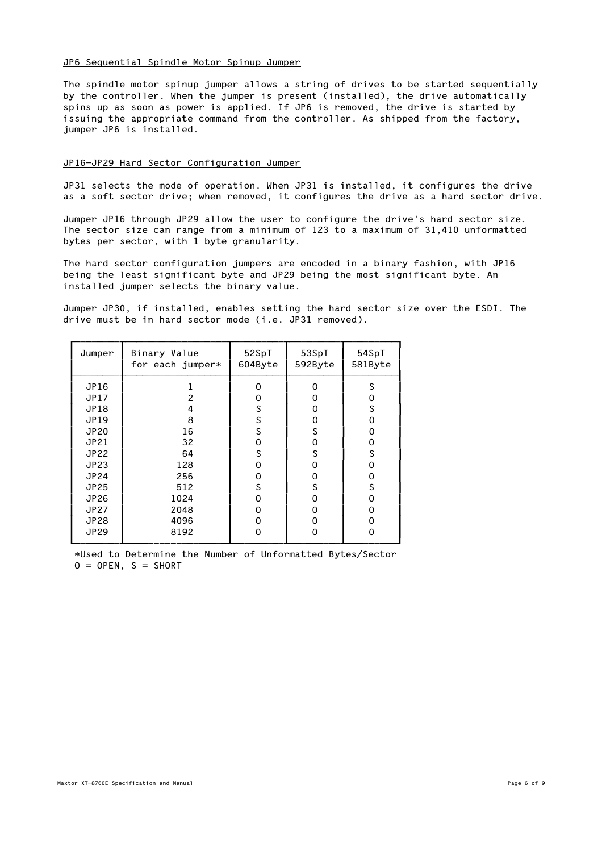## JP6 Sequential Spindle Motor Spinup Jumper

 The spindle motor spinup jumper allows a string of drives to be started sequentially by the controller. When the jumper is present (installed), the drive automatically spins up as soon as power is applied. If JP6 is removed, the drive is started by issuing the appropriate command from the controller. As shipped from the factory, jumper JP6 is installed.

## JP16-JP29 Hard Sector Configuration Jumper

 JP31 selects the mode of operation. When JP31 is installed, it configures the drive as a soft sector drive; when removed, it configures the drive as a hard sector drive.

 Jumper JP16 through JP29 allow the user to configure the drive's hard sector size. The sector size can range from a minimum of 123 to a maximum of 31,410 unformatted bytes per sector, with 1 byte granularity.

 The hard sector configuration jumpers are encoded in a binary fashion, with JP16 being the least significant byte and JP29 being the most significant byte. An installed jumper selects the binary value.

 Jumper JP30, if installed, enables setting the hard sector size over the ESDI. The drive must be in hard sector mode (i.e. JP31 removed).

| Jumper      | Binary Value<br>for each jumper* | 52SpT<br>604Byte | 53SpT<br>592Byte | 54SpT<br>581Byte |
|-------------|----------------------------------|------------------|------------------|------------------|
| JP16        |                                  | $\Omega$         | $\Omega$         | S                |
| JP17        | $\overline{c}$                   | 0                | 0                | 0                |
| JP18        | 4                                | S                | 0                | S                |
| JP19        | 8                                | S                | 0                | 0                |
| <b>JP20</b> | 16                               | S                | S                | 0                |
| JP21        | 32                               | 0                | 0                | 0                |
| <b>JP22</b> | 64                               | S                | S                | S                |
| <b>JP23</b> | 128                              | 0                | 0                | 0                |
| <b>JP24</b> | 256                              | 0                | 0                | 0                |
| <b>JP25</b> | 512                              | S                | S                | S                |
| JP26        | 1024                             | $\Omega$         | 0                | $\Omega$         |
| <b>JP27</b> | 2048                             | 0                | 0                | 0                |
| <b>JP28</b> | 4096                             | 0                | 0                | 0                |
| <b>JP29</b> | 8192                             | $\Omega$         | $\Omega$         | 0                |

 \*Used to Determine the Number of Unformatted Bytes/Sector  $0 =$  OPEN,  $S =$  SHORT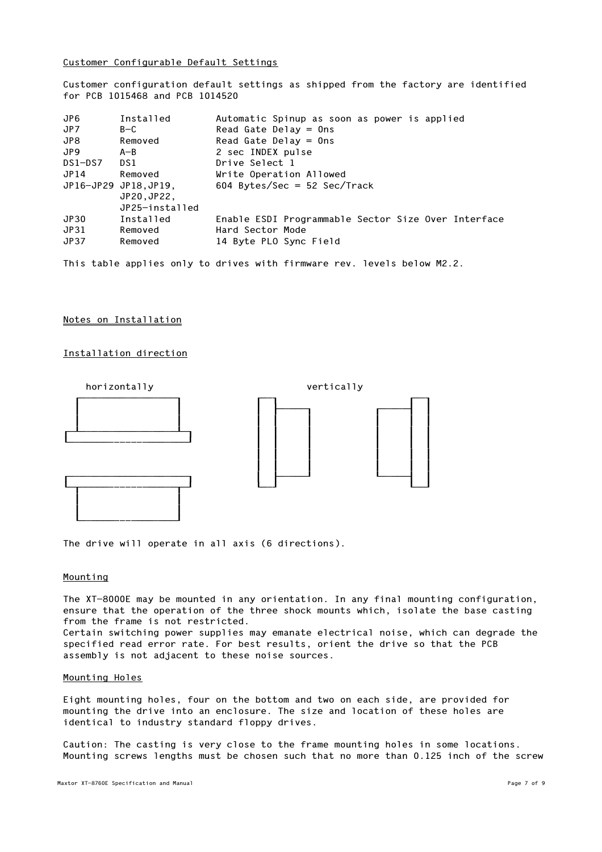Customer Configurable Default Settings

 Customer configuration default settings as shipped from the factory are identified for PCB 1015468 and PCB 1014520

| JP6.    | Installed            | Automatic Spinup as soon as power is applied        |
|---------|----------------------|-----------------------------------------------------|
| JP7     | $B-C$                | Read Gate Delay $=$ Ons                             |
| JP8     | Removed              | Read Gate Delay $=$ Ons                             |
| JP9.    | $A - B$              | 2 sec INDEX pulse                                   |
| DS1-DS7 | DS1                  | Drive Select 1                                      |
| JP14    | Removed              | Write Operation Allowed                             |
|         | JP16-JP29 JP18,JP19, | 604 Bytes/Sec = 52 Sec/Track                        |
|         | JP20, JP22,          |                                                     |
|         | JP25-installed       |                                                     |
| JP30    | Installed            | Enable ESDI Programmable Sector Size Over Interface |
| JP31    | Removed              | Hard Sector Mode                                    |
| JP37    | Removed              | 14 Byte PLO Sync Field                              |
|         |                      |                                                     |

This table applies only to drives with firmware rev. levels below M2.2.

#### Notes on Installation

## Installation direction



The drive will operate in all axis (6 directions).

## Mounting

 The XT-8000E may be mounted in any orientation. In any final mounting configuration, ensure that the operation of the three shock mounts which, isolate the base casting from the frame is not restricted.

 Certain switching power supplies may emanate electrical noise, which can degrade the specified read error rate. For best results, orient the drive so that the PCB assembly is not adjacent to these noise sources.

#### Mounting Holes

 Eight mounting holes, four on the bottom and two on each side, are provided for mounting the drive into an enclosure. The size and location of these holes are identical to industry standard floppy drives.

 Caution: The casting is very close to the frame mounting holes in some locations. Mounting screws lengths must be chosen such that no more than 0.125 inch of the screw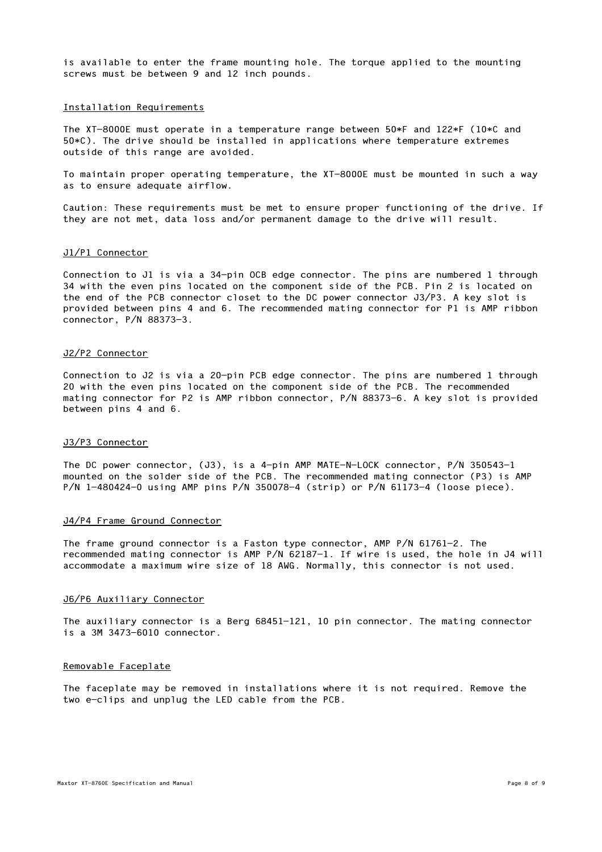is available to enter the frame mounting hole. The torque applied to the mounting screws must be between 9 and 12 inch pounds.

## Installation Requirements

 The XT-8000E must operate in a temperature range between 50\*F and 122\*F (10\*C and 50\*C). The drive should be installed in applications where temperature extremes outside of this range are avoided.

 To maintain proper operating temperature, the XT-8000E must be mounted in such a way as to ensure adequate airflow.

 Caution: These requirements must be met to ensure proper functioning of the drive. If they are not met, data loss and/or permanent damage to the drive will result.

### J1/P1 Connector

 Connection to J1 is via a 34-pin OCB edge connector. The pins are numbered 1 through 34 with the even pins located on the component side of the PCB. Pin 2 is located on the end of the PCB connector closet to the DC power connector J3/P3. A key slot is provided between pins 4 and 6. The recommended mating connector for P1 is AMP ribbon connector, P/N 88373-3.

#### J2/P2 Connector

 Connection to J2 is via a 20-pin PCB edge connector. The pins are numbered 1 through 20 with the even pins located on the component side of the PCB. The recommended mating connector for P2 is AMP ribbon connector, P/N 88373-6. A key slot is provided between pins 4 and 6.

### J3/P3 Connector

 The DC power connector, (J3), is a 4-pin AMP MATE-N-LOCK connector, P/N 350543-1 mounted on the solder side of the PCB. The recommended mating connector (P3) is AMP P/N 1-480424-0 using AMP pins P/N 350078-4 (strip) or P/N 61173-4 (loose piece).

### J4/P4 Frame Ground Connector

 The frame ground connector is a Faston type connector, AMP P/N 61761-2. The recommended mating connector is AMP P/N 62187-1. If wire is used, the hole in J4 will accommodate a maximum wire size of 18 AWG. Normally, this connector is not used.

#### J6/P6 Auxiliary Connector

 The auxiliary connector is a Berg 68451-121, 10 pin connector. The mating connector is a 3M 3473-6010 connector.

#### Removable Faceplate

 The faceplate may be removed in installations where it is not required. Remove the two e-clips and unplug the LED cable from the PCB.